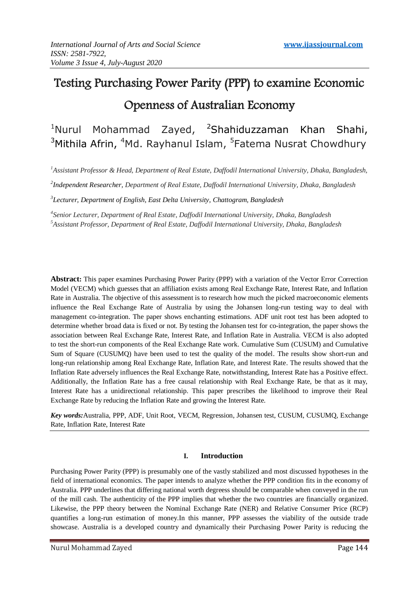# Testing Purchasing Power Parity (PPP) to examine Economic Openness of Australian Economy

 $1$ Nurul Mohammad Zayed,  $2$ Shahiduzzaman Khan Shahi, <sup>3</sup>Mithila Afrin, <sup>4</sup>Md. Rayhanul Islam, <sup>5</sup>Fatema Nusrat Chowdhury

*<sup>1</sup>Assistant Professor & Head, Department of Real Estate, Daffodil International University, Dhaka, Bangladesh,* 

*2 Independent Researcher, Department of Real Estate, Daffodil International University, Dhaka, Bangladesh*

*3 Lecturer, Department of English, East Delta University, Chattogram, Bangladesh*

*4 Senior Lecturer, Department of Real Estate, Daffodil International University, Dhaka, Bangladesh <sup>5</sup>Assistant Professor, Department of Real Estate, Daffodil International University, Dhaka, Bangladesh*

**Abstract:** This paper examines Purchasing Power Parity (PPP) with a variation of the Vector Error Correction Model (VECM) which guesses that an affiliation exists among Real Exchange Rate, Interest Rate, and Inflation Rate in Australia. The objective of this assessment is to research how much the picked macroeconomic elements influence the Real Exchange Rate of Australia by using the Johansen long-run testing way to deal with management co-integration. The paper shows enchanting estimations. ADF unit root test has been adopted to determine whether broad data is fixed or not. By testing the Johansen test for co-integration, the paper shows the association between Real Exchange Rate, Interest Rate, and Inflation Rate in Australia. VECM is also adopted to test the short-run components of the Real Exchange Rate work. Cumulative Sum (CUSUM) and Cumulative Sum of Square (CUSUMQ) have been used to test the quality of the model. The results show short-run and long-run relationship among Real Exchange Rate, Inflation Rate, and Interest Rate. The results showed that the Inflation Rate adversely influences the Real Exchange Rate, notwithstanding, Interest Rate has a Positive effect. Additionally, the Inflation Rate has a free causal relationship with Real Exchange Rate, be that as it may, Interest Rate has a unidirectional relationship. This paper prescribes the likelihood to improve their Real Exchange Rate by reducing the Inflation Rate and growing the Interest Rate.

*Key words:*Australia, PPP, ADF, Unit Root, VECM, Regression, Johansen test, CUSUM, CUSUMQ, Exchange Rate, Inflation Rate, Interest Rate

## **I. Introduction**

Purchasing Power Parity (PPP) is presumably one of the vastly stabilized and most discussed hypotheses in the field of international economics. The paper intends to analyze whether the PPP condition fits in the economy of Australia. PPP underlines that differing national worth degreess should be comparable when conveyed in the run of the mill cash. The authenticity of the PPP implies that whether the two countries are financially organized. Likewise, the PPP theory between the Nominal Exchange Rate (NER) and Relative Consumer Price (RCP) quantifies a long-run estimation of money.In this manner, PPP assesses the viability of the outside trade showcase. Australia is a developed country and dynamically their Purchasing Power Parity is reducing the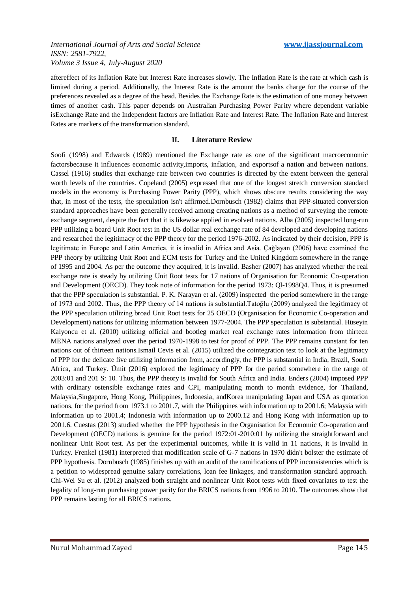aftereffect of its Inflation Rate but Interest Rate increases slowly. The Inflation Rate is the rate at which cash is limited during a period. Additionally, the Interest Rate is the amount the banks charge for the course of the preferences revealed as a degree of the head. Besides the Exchange Rate is the estimation of one money between times of another cash. This paper depends on Australian Purchasing Power Parity where dependent variable isExchange Rate and the Independent factors are Inflation Rate and Interest Rate. The Inflation Rate and Interest Rates are markers of the transformation standard.

# **II. Literature Review**

Soofi (1998) and Edwards (1989) mentioned the Exchange rate as one of the significant macroeconomic factorsbecause it influences economic activity,imports, inflation, and exportsof a nation and between nations. Cassel (1916) studies that exchange rate between two countries is directed by the extent between the general worth levels of the countries. Copeland (2005) expressed that one of the longest stretch conversion standard models in the economy is Purchasing Power Parity (PPP), which shows obscure results considering the way that, in most of the tests, the speculation isn't affirmed.Dornbusch (1982) claims that PPP-situated conversion standard approaches have been generally received among creating nations as a method of surveying the remote exchange segment, despite the fact that it is likewise applied in evolved nations. Alba (2005) inspected long-run PPP utilizing a board Unit Root test in the US dollar real exchange rate of 84 developed and developing nations and researched the legitimacy of the PPP theory for the period 1976-2002. As indicated by their decision, PPP is legitimate in Europe and Latin America, it is invalid in Africa and Asia. Çağlayan (2006) have examined the PPP theory by utilizing Unit Root and ECM tests for Turkey and the United Kingdom somewhere in the range of 1995 and 2004. As per the outcome they acquired, it is invalid. Basher (2007) has analyzed whether the real exchange rate is steady by utilizing Unit Root tests for 17 nations of Organisation for Economic Co-operation and Development (OECD). They took note of information for the period 1973: Ql-1998Q4. Thus, it is presumed that the PPP speculation is substantial. P. K. Narayan et al. (2009) inspected the period somewhere in the range of 1973 and 2002. Thus, the PPP theory of 14 nations is substantial.Tatoğlu (2009) analyzed the legitimacy of the PPP speculation utilizing broad Unit Root tests for 25 OECD (Organisation for Economic Co-operation and Development) nations for utilizing information between 1977-2004. The PPP speculation is substantial. Hüseyin Kalyoncu et al. (2010) utilizing official and bootleg market real exchange rates information from thirteen MENA nations analyzed over the period 1970-1998 to test for proof of PPP. The PPP remains constant for ten nations out of thirteen nations.Ismail Cevis et al. (2015) utilized the cointegration test to look at the legitimacy of PPP for the delicate five utilizing information from, accordingly, the PPP is substantial in India, Brazil, South Africa, and Turkey. Ümit (2016) explored the legitimacy of PPP for the period somewhere in the range of 2003:01 and 201 S: 10. Thus, the PPP theory is invalid for South Africa and India. Enders (2004) imposed PPP with ordinary ostensible exchange rates and CPI, manipulating month to month evidence, for Thailand, Malaysia,Singapore, Hong Kong, Philippines, Indonesia, andKorea manipulating Japan and USA as quotation nations, for the period from 1973.1 to 2001.7, with the Philippines with information up to 2001.6; Malaysia with information up to 2001.4; Indonesia with information up to 2000.12 and Hong Kong with information up to 2001.6. Cuestas (2013) studied whether the PPP hypothesis in the Organisation for Economic Co-operation and Development (OECD) nations is genuine for the period 1972:01-2010:01 by utilizing the straightforward and nonlinear Unit Root test. As per the experimental outcomes, while it is valid in 11 nations, it is invalid in Turkey. Frenkel (1981) interpreted that modification scale of G-7 nations in 1970 didn't bolster the estimate of PPP hypothesis. Dornbusch (1985) finishes up with an audit of the ramifications of PPP inconsistencies which is a petition to widespread genuine salary correlations, loan fee linkages, and transformation standard approach. Chi-Wei Su et al. (2012) analyzed both straight and nonlinear Unit Root tests with fixed covariates to test the legality of long-run purchasing power parity for the BRICS nations from 1996 to 2010. The outcomes show that PPP remains lasting for all BRICS nations.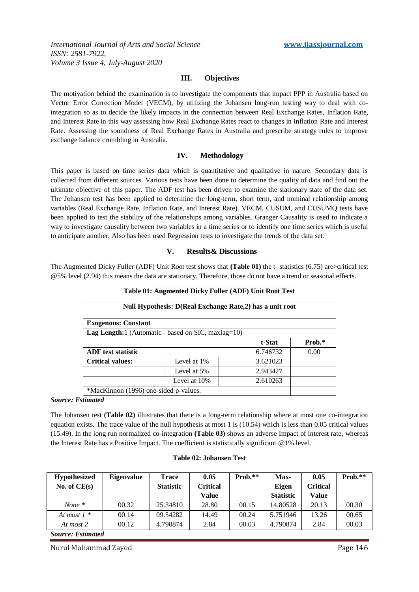# **III. Objectives**

The motivation behind the examination is to investigate the components that impact PPP in Australia based on Vector Error Correction Model (VECM), by utilizing the Johansen long-run testing way to deal with cointegration so as to decide the likely impacts in the connection between Real Exchange Rates, Inflation Rate, and Interest Rate in this way assessing how Real Exchange Rates react to changes in Inflation Rate and Interest Rate. Assessing the soundness of Real Exchange Rates in Australia and prescribe strategy rules to improve exchange balance crumbling in Australia.

# **IV. Methodology**

This paper is based on time series data which is quantitative and qualitative in nature. Secondary data is collected from different sources. Various tests have been done to determine the quality of data and find out the ultimate objective of this paper. The ADF test has been driven to examine the stationary state of the data set. The Johansen test has been applied to determine the long-term, short term, and nominal relationship among variables (Real Exchange Rate, Inflation Rate, and Interest Rate). VECM, CUSUM, and CUSUMQ tests have been applied to test the stability of the relationships among variables. Granger Causality is used to indicate a way to investigate causality between two variables in a time series or to identify one time series which is useful to anticipate another. Also has been used Regression tests to investigate the trends of the data set.

## **V. Results& Discussions**

The Augmented Dicky Fuller (ADF) Unit Root test shows that **(Table 01)** the t- statistics (6.75) are>critical test @5% level (2.94) this means the data are stationary. Therefore, those do not have a trend or seasonal effects.

| Null Hypothesis: D(Real Exchange Rate, 2) has a unit root |                                                                  |          |        |  |  |
|-----------------------------------------------------------|------------------------------------------------------------------|----------|--------|--|--|
| <b>Exogenous: Constant</b>                                |                                                                  |          |        |  |  |
|                                                           | <b>Lag Length:</b> $1$ (Automatic - based on SIC, maxlag= $10$ ) |          |        |  |  |
|                                                           |                                                                  | t-Stat   | Prob.* |  |  |
| <b>ADF</b> test statistic                                 |                                                                  | 6.746732 | 0.00   |  |  |
| <b>Critical values:</b>                                   | Level at 1\%                                                     | 3.621023 |        |  |  |
|                                                           | Level at 5%                                                      | 2.943427 |        |  |  |
|                                                           | Level at 10%                                                     | 2.610263 |        |  |  |
| *MacKinnon (1996) one-sided p-values.                     |                                                                  |          |        |  |  |

## **Table 01: Augmented Dicky Fuller (ADF) Unit Root Test**

*Source: Estimated*

The Johansen test **(Table 02)** illustrates that there is a long-term relationship where at most one co-integration equation exists. The trace value of the null hypothesis at most 1 is (10.54) which is less than 0.05 critical values (15.49). In the long run normalized co-integration **(Table 03)** shows an adverse Impact of interest rate, whereas the Interest Rate has a Positive Impact. The coefficient is statistically significant @1% level.

## **Table 02: Johansen Test**

| <b>Hypothesized</b> | <b>Eigenvalue</b> | Trace            | 0.05            | $Prob.**$ | Max-             | 0.05            | $Prob.**$ |
|---------------------|-------------------|------------------|-----------------|-----------|------------------|-----------------|-----------|
| No. of $CE(s)$      |                   | <b>Statistic</b> | <b>Critical</b> |           | <b>Eigen</b>     | <b>Critical</b> |           |
|                     |                   |                  | Value           |           | <b>Statistic</b> | Value           |           |
| None $*$            | 00.32             | 25.34810         | 28.80           | 00.15     | 14.80528         | 20.13           | 00.30     |
| At most $1 *$       | 00.14             | 09.54282         | 14.49           | 00.24     | 5.751946         | 13.26           | 00.65     |
| At most 2           | 00.12             | 4.790874         | 2.84            | 00.03     | 4.790874         | 2.84            | 00.03     |

*Source: Estimated*

Nurul Mohammad Zayed **Page 146**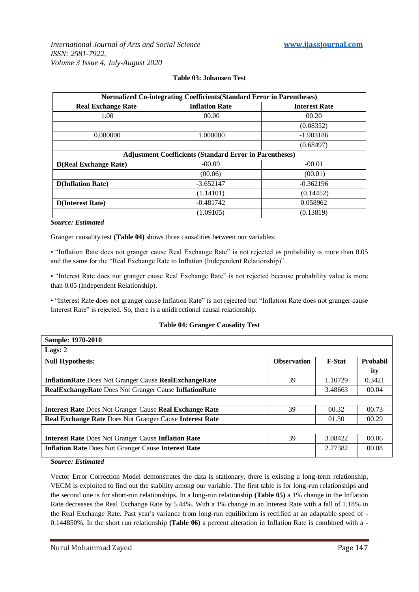| Normalized Co-integrating Coefficients (Standard Error in Parentheses) |                       |                      |  |  |
|------------------------------------------------------------------------|-----------------------|----------------------|--|--|
| <b>Real Exchange Rate</b>                                              | <b>Inflation Rate</b> | <b>Interest Rate</b> |  |  |
| 1.00                                                                   | 00.00                 | 00.20                |  |  |
|                                                                        |                       | (0.08352)            |  |  |
| 0.000000                                                               | 1.000000              | -1.903186            |  |  |
|                                                                        |                       | (0.68497)            |  |  |
| <b>Adjustment Coefficients (Standard Error in Parentheses)</b>         |                       |                      |  |  |
| <b>D(Real Exchange Rate)</b>                                           | $-00.09$              | $-00.01$             |  |  |
|                                                                        | (00.06)               | (00.01)              |  |  |
| <b>D</b> (Inflation Rate)                                              | $-3.652147$           | $-0.362196$          |  |  |
|                                                                        | (1.14101)             | (0.14452)            |  |  |
| <b>D</b> (Interest Rate)                                               | $-0.481742$           | 0.058962             |  |  |
|                                                                        | (1.09105)             | (0.13819)            |  |  |

## **Table 03: Johansen Test**

#### *Source: Estimated*

Granger causality test **(Table 04)** shows three causalities between our variables:

• "Inflation Rate does not granger cause Real Exchange Rate" is not rejected as probability is more than 0.05 and the same for the "Real Exchange Rate to Inflation (Independent Relationship)".

• "Interest Rate does not granger cause Real Exchange Rate" is not rejected because probability value is more than 0.05 (Independent Relationship).

• "Interest Rate does not granger cause Inflation Rate" is not rejected but "Inflation Rate does not granger cause Interest Rate" is rejected. So, there is a unidirectional causal relationship.

#### **Table 04: Granger Causality Test**

| Sample: 1970-2010                                              |                    |               |          |  |  |
|----------------------------------------------------------------|--------------------|---------------|----------|--|--|
| Lags: $2$                                                      |                    |               |          |  |  |
| <b>Null Hypothesis:</b>                                        | <b>Observation</b> | <b>F-Stat</b> | Probabil |  |  |
|                                                                |                    |               | ity      |  |  |
| <b>InflationRate Does Not Granger Cause RealExchangeRate</b>   | 39                 | 1.10729       | 0.3421   |  |  |
| <b>RealExchangeRate</b> Does Not Granger Cause InflationRate   |                    | 3.48663       | 00.04    |  |  |
|                                                                |                    |               |          |  |  |
| <b>Interest Rate Does Not Granger Cause Real Exchange Rate</b> | 39                 | 00.32         | 00.73    |  |  |
| <b>Real Exchange Rate Does Not Granger Cause Interest Rate</b> |                    |               | 00.29    |  |  |
|                                                                |                    |               |          |  |  |
| <b>Interest Rate Does Not Granger Cause Inflation Rate</b>     | 39                 | 3.08422       | 00.06    |  |  |
| <b>Inflation Rate Does Not Granger Cause Interest Rate</b>     |                    | 2.77382       | 00.08    |  |  |
|                                                                |                    |               |          |  |  |

*Source: Estimated*

Vector Error Correction Model demonstrates the data is stationary, there is existing a long-term relationship, VECM is exploited to find out the stability among our variable. The first table is for long-run relationships and the second one is for short-run relationships. In a long-run relationship **(Table 05)** a 1% change in the Inflation Rate decreases the Real Exchange Rate by 5.44%. With a 1% change in an Interest Rate with a fall of 1.18% in the Real Exchange Rate. Past year's variance from long-run equilibrium is rectified at an adaptable speed of - 0.144850%. In the short run relationship **(Table 06)** a percent alteration in Inflation Rate is combined with a -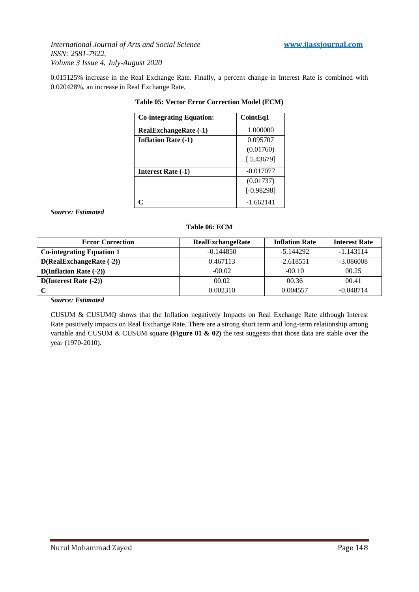0.015125% increase in the Real Exchange Rate. Finally, a percent change in Interest Rate is combined with 0.020428%, an increase in Real Exchange Rate.

| <b>Co-integrating Equation:</b> | CointEq1     |
|---------------------------------|--------------|
| <b>RealExchangeRate (-1)</b>    | 1.000000     |
| <b>Inflation Rate (-1)</b>      | 0.095707     |
|                                 | (0.01760)    |
|                                 | [5.43679]    |
| <b>Interest Rate (-1)</b>       | $-0.017077$  |
|                                 | (0.01737)    |
|                                 | $[-0.98298]$ |
| C                               | $-1.662141$  |

## **Table 05: Vector Error Correction Model (ECM)**

## *Source: Estimated*

## **Table 06: ECM**

| <b>Error Correction</b>          | <b>RealExchangeRate</b> | <b>Inflation Rate</b> | <b>Interest Rate</b> |
|----------------------------------|-------------------------|-----------------------|----------------------|
| <b>Co-integrating Equation 1</b> | $-0.144850$             | $-5.144292$           | $-1.143114$          |
| $D(RealExchangeRate (-2))$       | 0.467113                | $-2.618551$           | $-3.086008$          |
| $D(Inflation Rate (-2))$         | $-00.02$                | $-00.10$              | 00.25                |
| $D(Interest Rate (-2))$          | 00.02                   | 00.36                 | 00.41                |
|                                  | 0.002310                | 0.004557              | $-0.048714$          |

## *Source: Estimated*

CUSUM & CUSUMQ shows that the Inflation negatively Impacts on Real Exchange Rate although Interest Rate positively impacts on Real Exchange Rate. There are a strong short term and long-term relationship among variable and CUSUM & CUSUM square **(Figure 01 & 02)** the test suggests that those data are stable over the year (1970-2010).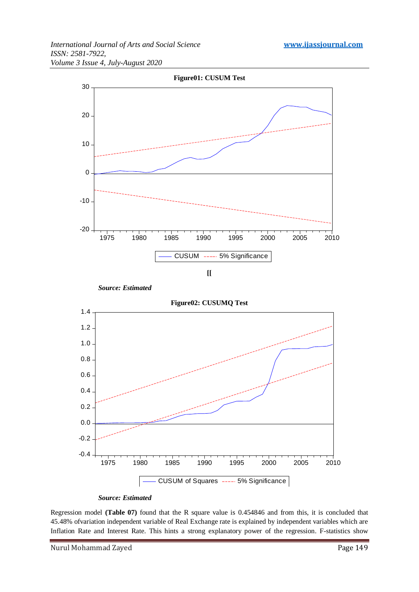

 *Source: Estimated*





Regression model **(Table 07)** found that the R square value is 0.454846 and from this, it is concluded that 45.48% ofvariation independent variable of Real Exchange rate is explained by independent variables which are Inflation Rate and Interest Rate. This hints a strong explanatory power of the regression. F-statistics show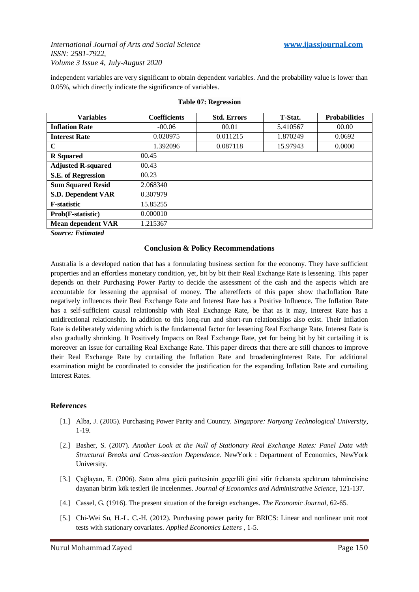independent variables are very significant to obtain dependent variables. And the probability value is lower than 0.05%, which directly indicate the significance of variables.

| <b>Variables</b>          | <b>Coefficients</b> | <b>Std. Errors</b> | <b>T-Stat.</b> | <b>Probabilities</b> |  |
|---------------------------|---------------------|--------------------|----------------|----------------------|--|
| <b>Inflation Rate</b>     | $-00.06$            | 00.01              | 5.410567       | 00.00                |  |
| <b>Interest Rate</b>      | 0.020975            | 0.011215           | 1.870249       | 0.0692               |  |
| $\mathbf C$               | 1.392096            | 0.087118           | 15.97943       | 0.0000               |  |
| <b>R</b> Squared          | 00.45               |                    |                |                      |  |
| <b>Adjusted R-squared</b> | 00.43               |                    |                |                      |  |
| S.E. of Regression        | 00.23               |                    |                |                      |  |
| <b>Sum Squared Resid</b>  | 2.068340            |                    |                |                      |  |
| <b>S.D. Dependent VAR</b> | 0.307979            |                    |                |                      |  |
| <b>F-statistic</b>        | 15.85255            |                    |                |                      |  |
| Prob(F-statistic)         | 0.000010            |                    |                |                      |  |
| <b>Mean dependent VAR</b> | 1.215367            |                    |                |                      |  |

#### **Table 07: Regression**

*Source: Estimated*

## **Conclusion & Policy Recommendations**

Australia is a developed nation that has a formulating business section for the economy. They have sufficient properties and an effortless monetary condition, yet, bit by bit their Real Exchange Rate is lessening. This paper depends on their Purchasing Power Parity to decide the assessment of the cash and the aspects which are accountable for lessening the appraisal of money. The aftereffects of this paper show thatInflation Rate negatively influences their Real Exchange Rate and Interest Rate has a Positive Influence. The Inflation Rate has a self-sufficient causal relationship with Real Exchange Rate, be that as it may, Interest Rate has a unidirectional relationship. In addition to this long-run and short-run relationships also exist. Their Inflation Rate is deliberately widening which is the fundamental factor for lessening Real Exchange Rate. Interest Rate is also gradually shrinking. It Positively Impacts on Real Exchange Rate, yet for being bit by bit curtailing it is moreover an issue for curtailing Real Exchange Rate. This paper directs that there are still chances to improve their Real Exchange Rate by curtailing the Inflation Rate and broadeningInterest Rate. For additional examination might be coordinated to consider the justification for the expanding Inflation Rate and curtailing Interest Rates.

# **References**

- [1.] Alba, J. (2005). Purchasing Power Parity and Country. *Singapore: Nanyang Technological University*, 1-19.
- [2.] Basher, S. (2007). *Another Look at the Null of Stationary Real Exchange Rates: Panel Data with Structural Breaks and Cross-section Dependence.* NewYork : Department of Economics, NewYork University.
- [3.] Çağlayan, E. (2006). Satın alma gücü paritesinin geçerlili ğini sifir frekansta spektrum tahmincisine dayanan birim kök testleri ile incelenmes. *Journal of Economics and Administrative Science*, 121-137.
- [4.] Cassel, G. (1916). The present situation of the foreign exchanges. *The Economic Journal*, 62-65.
- [5.] Chi-Wei Su, H.-L. C.-H. (2012). Purchasing power parity for BRICS: Linear and nonlinear unit root tests with stationary covariates. *Applied Economics Letters* , 1-5.